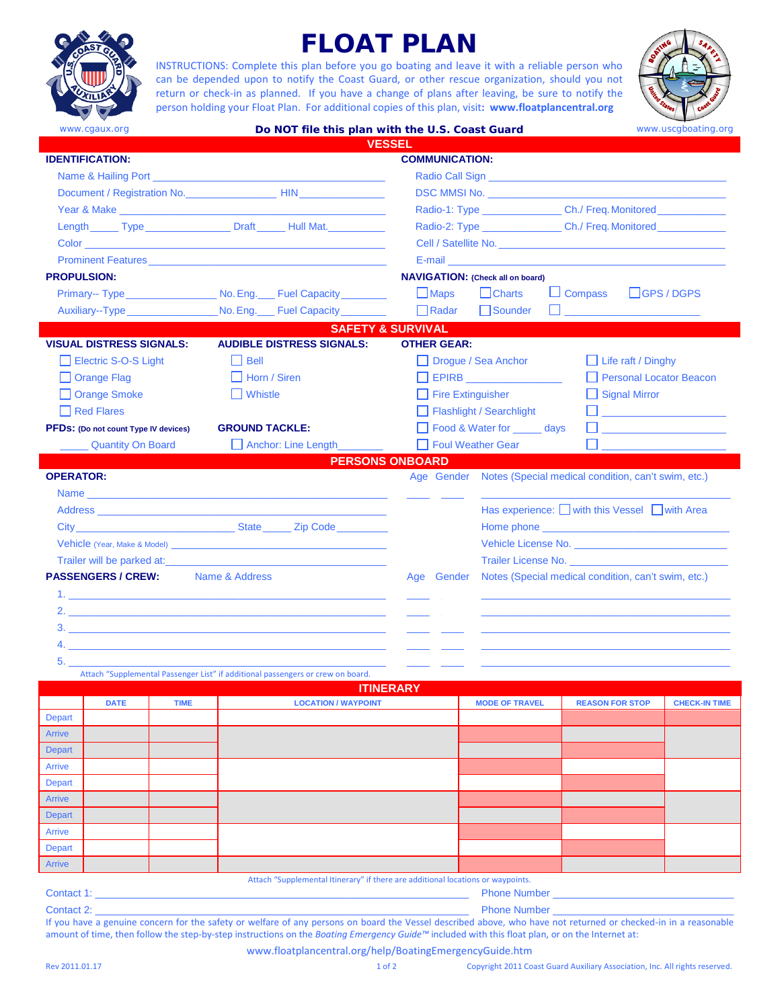

# **FLOAT PLAN**

INSTRUCTIONS: Complete this plan before you go boating and leave it with a reliable person who can be depended upon to notify the Coast Guard, or other rescue organization, should you not return or check-in as planned. If you have a change of plans after leaving, be sure to notify the person holding your Float Plan. For additional copies of this plan, visit**: <www.floatplancentral.org>**



|                                             | www.cgaux.org                               |                                                                                                                                                                                            |                       | Do NOT file this plan with the U.S. Coast Guard                                                                                                                                                                                |                                         |                       |                                                     |                                                                                                                                                                                                                                     | www.uscgboating.org  |
|---------------------------------------------|---------------------------------------------|--------------------------------------------------------------------------------------------------------------------------------------------------------------------------------------------|-----------------------|--------------------------------------------------------------------------------------------------------------------------------------------------------------------------------------------------------------------------------|-----------------------------------------|-----------------------|-----------------------------------------------------|-------------------------------------------------------------------------------------------------------------------------------------------------------------------------------------------------------------------------------------|----------------------|
|                                             |                                             |                                                                                                                                                                                            |                       | <b>VESSEL</b>                                                                                                                                                                                                                  |                                         |                       |                                                     |                                                                                                                                                                                                                                     |                      |
| <b>IDENTIFICATION:</b>                      |                                             |                                                                                                                                                                                            |                       |                                                                                                                                                                                                                                |                                         | <b>COMMUNICATION:</b> |                                                     |                                                                                                                                                                                                                                     |                      |
|                                             |                                             |                                                                                                                                                                                            |                       |                                                                                                                                                                                                                                |                                         |                       |                                                     |                                                                                                                                                                                                                                     |                      |
|                                             |                                             |                                                                                                                                                                                            |                       |                                                                                                                                                                                                                                |                                         |                       |                                                     | <b>DSC MMSI No.</b> The contract of the contract of the contract of the contract of the contract of the contract of the contract of the contract of the contract of the contract of the contract of the contract of the contract of |                      |
|                                             |                                             |                                                                                                                                                                                            |                       | Year & Make New York and the Second Second Second Second Second Second Second Second Second Second Second Second Second Second Second Second Second Second Second Second Second Second Second Second Second Second Second Seco |                                         |                       |                                                     | Radio-1: Type ____________________Ch./ Freq. Monitored ______________                                                                                                                                                               |                      |
|                                             |                                             |                                                                                                                                                                                            |                       | Length Type Draft Hull Mat.                                                                                                                                                                                                    |                                         |                       |                                                     | Radio-2: Type ____________________Ch./ Freq. Monitored _________________________                                                                                                                                                    |                      |
|                                             |                                             |                                                                                                                                                                                            |                       | Color <b>Color</b> (2005) and the color of the color of the color of the color of the color of the color                                                                                                                       |                                         |                       |                                                     | Cell / Satellite No. <b>Example 20</b> No.                                                                                                                                                                                          |                      |
|                                             |                                             |                                                                                                                                                                                            |                       |                                                                                                                                                                                                                                |                                         |                       |                                                     | E-mail and the contract of the contract of the contract of the contract of the contract of the contract of the                                                                                                                      |                      |
| <b>PROPULSION:</b>                          |                                             |                                                                                                                                                                                            |                       |                                                                                                                                                                                                                                |                                         |                       | <b>NAVIGATION: (Check all on board)</b>             |                                                                                                                                                                                                                                     |                      |
|                                             |                                             |                                                                                                                                                                                            |                       | Primary-- Type _____________________ No. Eng. ____ Fuel Capacity _________                                                                                                                                                     |                                         | $\Box$ Maps           | $\Box$ Charts                                       | $\Box$ Compass                                                                                                                                                                                                                      | $L$ GPS / DGPS       |
|                                             |                                             |                                                                                                                                                                                            |                       | Auxiliary--Type ______________________No. Eng. ____ Fuel Capacity __________                                                                                                                                                   |                                         | Radar                 | Sounder                                             | <b>Contract Contract Contract</b>                                                                                                                                                                                                   |                      |
|                                             |                                             |                                                                                                                                                                                            |                       | <b>SAFETY &amp; SURVIVAL</b>                                                                                                                                                                                                   |                                         |                       |                                                     |                                                                                                                                                                                                                                     |                      |
|                                             | <b>VISUAL DISTRESS SIGNALS:</b>             |                                                                                                                                                                                            |                       | <b>AUDIBLE DISTRESS SIGNALS:</b>                                                                                                                                                                                               |                                         | <b>OTHER GEAR:</b>    |                                                     |                                                                                                                                                                                                                                     |                      |
|                                             | Electric S-O-S Light                        |                                                                                                                                                                                            | $\Box$ Bell           |                                                                                                                                                                                                                                |                                         |                       | □ Drogue / Sea Anchor                               | $\Box$ Life raft / Dinghy                                                                                                                                                                                                           |                      |
|                                             | Orange Flag<br>$\Box$ Horn / Siren          |                                                                                                                                                                                            |                       |                                                                                                                                                                                                                                | $\Box$ EPIRB<br>Personal Locator Beacon |                       |                                                     |                                                                                                                                                                                                                                     |                      |
|                                             | Orange Smoke                                | $\Box$ Whistle<br>$\Box$ Fire Extinguisher                                                                                                                                                 |                       |                                                                                                                                                                                                                                | $\Box$ Signal Mirror                    |                       |                                                     |                                                                                                                                                                                                                                     |                      |
|                                             | $\Box$ Red Flares                           |                                                                                                                                                                                            |                       |                                                                                                                                                                                                                                |                                         |                       | Flashlight / Searchlight                            |                                                                                                                                                                                                                                     |                      |
|                                             | <b>PFDS:</b> (Do not count Type IV devices) |                                                                                                                                                                                            | <b>GROUND TACKLE:</b> |                                                                                                                                                                                                                                |                                         |                       | Food & Water for <u>same</u> days                   | the company of the company of the                                                                                                                                                                                                   |                      |
|                                             | <b>Quantity On Board</b>                    |                                                                                                                                                                                            |                       | Anchor: Line Length                                                                                                                                                                                                            |                                         |                       | Foul Weather Gear                                   |                                                                                                                                                                                                                                     |                      |
|                                             |                                             |                                                                                                                                                                                            |                       | <b>PERSONS ONBOARD</b>                                                                                                                                                                                                         |                                         |                       |                                                     |                                                                                                                                                                                                                                     |                      |
| <b>OPERATOR:</b>                            |                                             |                                                                                                                                                                                            |                       |                                                                                                                                                                                                                                |                                         |                       |                                                     | Age Gender Notes (Special medical condition, can't swim, etc.)                                                                                                                                                                      |                      |
|                                             |                                             |                                                                                                                                                                                            |                       | Name experience and the second contract of the second contract of the second contract of the second contract of                                                                                                                |                                         |                       |                                                     |                                                                                                                                                                                                                                     |                      |
|                                             |                                             | Address <b>Address Address Address Address Address Address Address Address Address Address Address Address Address Address Address Address Address Address Address Address Address Add</b> |                       |                                                                                                                                                                                                                                |                                         |                       |                                                     | Has experience: with this Vessel with Area                                                                                                                                                                                          |                      |
| City City City City Code                    |                                             |                                                                                                                                                                                            |                       |                                                                                                                                                                                                                                |                                         |                       |                                                     |                                                                                                                                                                                                                                     |                      |
|                                             |                                             |                                                                                                                                                                                            |                       |                                                                                                                                                                                                                                |                                         |                       |                                                     |                                                                                                                                                                                                                                     |                      |
| Trailer will be parked at:                  |                                             |                                                                                                                                                                                            |                       |                                                                                                                                                                                                                                |                                         |                       |                                                     | Trailer License No.                                                                                                                                                                                                                 |                      |
| <b>PASSENGERS / CREW:</b><br>Name & Address |                                             |                                                                                                                                                                                            |                       |                                                                                                                                                                                                                                | Age Gender                              |                       | Notes (Special medical condition, can't swim, etc.) |                                                                                                                                                                                                                                     |                      |
|                                             |                                             | 1.                                                                                                                                                                                         |                       |                                                                                                                                                                                                                                |                                         |                       |                                                     |                                                                                                                                                                                                                                     |                      |
|                                             |                                             |                                                                                                                                                                                            |                       | 2.                                                                                                                                                                                                                             |                                         |                       |                                                     |                                                                                                                                                                                                                                     |                      |
|                                             |                                             | 3.                                                                                                                                                                                         |                       |                                                                                                                                                                                                                                |                                         |                       |                                                     |                                                                                                                                                                                                                                     |                      |
|                                             |                                             |                                                                                                                                                                                            |                       |                                                                                                                                                                                                                                |                                         |                       |                                                     |                                                                                                                                                                                                                                     |                      |
| 5.                                          |                                             |                                                                                                                                                                                            |                       |                                                                                                                                                                                                                                |                                         |                       |                                                     |                                                                                                                                                                                                                                     |                      |
|                                             |                                             |                                                                                                                                                                                            |                       | Attach "Supplemental Passenger List" if additional passengers or crew on board.                                                                                                                                                |                                         |                       |                                                     |                                                                                                                                                                                                                                     |                      |
|                                             | <b>DATE</b>                                 | <b>TIME</b>                                                                                                                                                                                |                       | <b>ITINERARY</b><br><b>LOCATION / WAYPOINT</b>                                                                                                                                                                                 |                                         |                       | <b>MODE OF TRAVEL</b>                               | <b>REASON FOR STOP</b>                                                                                                                                                                                                              | <b>CHECK-IN TIME</b> |
| <b>Depart</b>                               |                                             |                                                                                                                                                                                            |                       |                                                                                                                                                                                                                                |                                         |                       |                                                     |                                                                                                                                                                                                                                     |                      |

|               | ---- | $\cdots$ |                                                                                |  |  |
|---------------|------|----------|--------------------------------------------------------------------------------|--|--|
| Depart        |      |          |                                                                                |  |  |
| Arrive        |      |          |                                                                                |  |  |
| Depart        |      |          |                                                                                |  |  |
| Arrive        |      |          |                                                                                |  |  |
| Depart        |      |          |                                                                                |  |  |
| Arrive        |      |          |                                                                                |  |  |
| Depart        |      |          |                                                                                |  |  |
| Arrive        |      |          |                                                                                |  |  |
| <b>Depart</b> |      |          |                                                                                |  |  |
| Arrive        |      |          |                                                                                |  |  |
|               |      |          | Attach "Sunnlemental Itinerary" if there are additional locations or waypoints |  |  |

Attach "Supplemental Itinerary" if there are additional locations or waypoints.

Contact 1: \_\_\_\_\_\_\_\_\_\_\_\_\_\_\_\_\_\_\_\_\_\_\_\_\_\_\_\_\_\_\_\_\_\_\_\_\_\_\_\_\_\_\_\_\_\_\_\_\_\_\_\_\_\_\_\_\_\_\_\_\_\_\_\_\_\_ Phone Number \_\_\_\_\_\_\_\_\_\_\_\_\_\_\_\_\_\_\_\_\_\_\_\_\_\_\_\_\_\_\_\_

Contact 2: \_\_\_\_\_\_\_\_\_\_\_\_\_\_\_\_\_\_\_\_\_\_\_\_\_\_\_\_\_\_\_\_\_\_\_\_\_\_\_\_\_\_\_\_\_\_\_\_\_\_\_\_\_\_\_\_\_\_\_\_\_\_\_\_\_\_ Phone Number \_\_\_\_\_\_\_\_\_\_\_\_\_\_\_\_\_\_\_\_\_\_\_\_\_\_\_\_\_\_\_\_

If you have a genuine concern for the safety or welfare of any persons on board the Vessel described above, who have not returned or checked-in in a reasonable amount of time, then follow the step-by-step instructions on the *Boating Emergency Guide™* included with this float plan, or on the Internet at:

www.floatplancentral.org/help/BoatingEmergencyGuide.htm